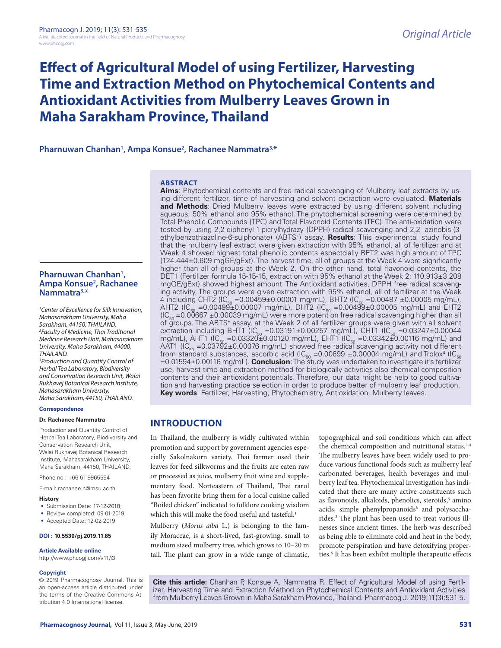# **Effect of Agricultural Model of using Fertilizer, Harvesting Time and Extraction Method on Phytochemical Contents and Antioxidant Activities from Mulberry Leaves Grown in Maha Sarakham Province, Thailand**

# **Pharnuwan Chanhan1 , Ampa Konsue2 , Rachanee Nammatra3,\***

#### **ABSTRACT**

Total Phenolic Compounds (TPC) and Total Flavonoid Contents (TFC). The anti-oxidation were tested by using 2,2-diphenyl-1-picrylhydrazy (DPPH) radical scavenging and 2,2 -azinobis-(3 ethylbenzothiazoline-6-sulphonate) (ABTS+) assay. **Results**: This experimental study found that the mulberry leaf extract were given extraction with 95% ethanol, all of fertilizer and at Week 4 showed highest total phenolic contents espectcially BET2 was high amount of TPC (124.444±0.609 mgGE/gExt). The harvest time, all of groups at the Week 4 were significantly higher than all of groups at the Week 2. On the other hand, total flavonoid contents, the DET1 (Fertilizer formula 15-15-15, extraction with 95% ethanol at the Week 2; 110.913±3.208 mgQE/gExt) showed highest amount. The Antioxidant activities, DPPH free radical scavenging activity, The groups were given extraction with 95% ethanol, all of fertilizer at the Week 4 including CHT2 (IC<sub>50</sub> = 0.00459±0.00001 mg/mL), BHT2 (IC<sub>50</sub> = 0.00487 ±0.00005 mg/mL), AHT2 (IC<sub>50</sub> =0.00499±0.00007 mg/mL), DHT2 (IC<sub>50</sub> =0.00499±0.00005 mg/mL) and EHT2 (IC<sub>50</sub> =0.00667 ±0.00039 mg/mL) were more potent ̃on free radical scavenging higher than all<br>of groups. The ABTS+ assay, at the Week 2 of all fertilizer groups were given with all solvent extraction including BHT1 ( $IC_{50} = 0.03191 \pm 0.00257$  mg/mL), CHT1 ( $IC_{50} = 0.03247 \pm 0.00044$ mg/mL), AHT1 (IC<sub>50</sub> = 0.03320±0.00120 mg/mL), EHT1 (IC<sub>50</sub> = 0.03342±0.00116 mg/mL) and AAT1 (IC<sub>50</sub> = 0.03792±0.00076 mg/mL) showed free radical scavenging activity not different from standard substances, ascorbic acid  $\frac{1}{50}$  =0.00699 ±0.00004 mg/mL) and Trolox  $\frac{1}{50}$ **Pharnuwan Chanhan1** Pharnuwan Chanhan<sup>1</sup>,<br>Ampa Konsue<sup>2</sup>, Rachanee *1 Center of Excellence for Silk Innovation, Mahasarakham University, Maha Sarakham, 44150, THAILAND. 2 Faculty of Medicine, Thai Traditional Medicine Research Unit, Mahasarakham University, Maha Sarakham, 44000, 3 Production and Quantity Control of* 

=0.01594±0.00116 mg/mL). **Conclusion**: The study was undertaken to investigate it's fertilizer use, harvest time and extraction method for biologically activities also chemical composition contents and their antioxidant potentials. Therefore, our data might be help to good cultivation and harvesting practice selection in order to produce better of mulberry leaf production. **Key words**: Fertilizer, Harvesting, Phytochemistry, Antioxidation, Mulberry leaves.

**Aims**: Phytochemical contents and free radical scavenging of Mulberry leaf extracts by using different fertilizer, time of harvesting and solvent extraction were evaluated. **Materials and Methods**: Dried Mulberry leaves were extracted by using different solvent including aqueous, 50% ethanol and 95% ethanol. The phytochemical screening were determined by

Production and Quantity Control of Herbal Tea Laboratory, Biodiversity and Conservation Research Unit, Walai Rukhavej Botanical Research Institute, Mahasarakham University, Maha Sarakham, 44150, THAILAND. Phone no : +66-61-9965554 E-mail: rachanee.n@msu.ac.th

#### **History**

**Nammatra3,\***

*THAILAND.*

**Correspondence Dr. Rachanee Nammatra**

• Submission Date: 17-12-2018;

• Review completed: 09-01-2019;

*Herbal Tea Laboratory, Biodiversity and Conservation Research Unit, Walai Rukhavej Botanical Research Institute, Mahasarakham University, Maha Sarakham, 44150, THAILAND.*

• Accepted Date: 12-02-2019

#### **DOI : 10.5530/pj.2019.11.85**

#### **Article Available online**

http://www.phcogj.com/v11/i3

#### **Copyright**

© 2019 Pharmacognosy Journal. This is an open-access article distributed under the terms of the Creative Commons Attribution 4.0 International license.

**INTRODUCTION**

In Thailand, the mulberry is widly cultivated within promotion and support by government agencies especially Sakolnakorn variety. Thai farmer used their leaves for feed silkworms and the fruits are eaten raw or processed as juice, mulberry fruit wine and supplementary food. Norteastern of Thailand, Thai rarul has been favorite bring them for a local cuisine called "Boiled chicken" indicated to folklore cooking wisdom which this will make the food useful and tasteful.<sup>1</sup>

Mulberry (*Morus alba* L.) is belonging to the family Moraceae, is a short-lived, fast-growing, small to medium sized mulberry tree, which grows to 10–20 m tall. The plant can grow in a wide range of climatic,

topographical and soil conditions which can affect the chemical composition and nutritional status.<sup>2-4</sup> The mulberry leaves have been widely used to produce various functional foods such as mulberry leaf carbonated beverages, health beverages and mulberry leaf tea. Phytochemical investigation has indicated that there are many active constituents such as flavonoids, alkaloids, phenolics, steroids,<sup>5</sup> amino acids, simple phenylpropanoids<sup>6</sup> and polysaccharides.3 The plant has been used to treat various illnesses since ancient times. The herb was described as being able to eliminate cold and heat in the body, promote perspiration and have detoxifying properties.<sup>6</sup> It has been exhibit multiple therapeutic effects

**Cite this article:** Chanhan P, Konsue A, Nammatra R. Effect of Agricultural Model of using Fertilizer, Harvesting Time and Extraction Method on Phytochemical Contents and Antioxidant Activities from Mulberry Leaves Grown in Maha Sarakham Province, Thailand. Pharmacog J. 2019;11(3):531-5.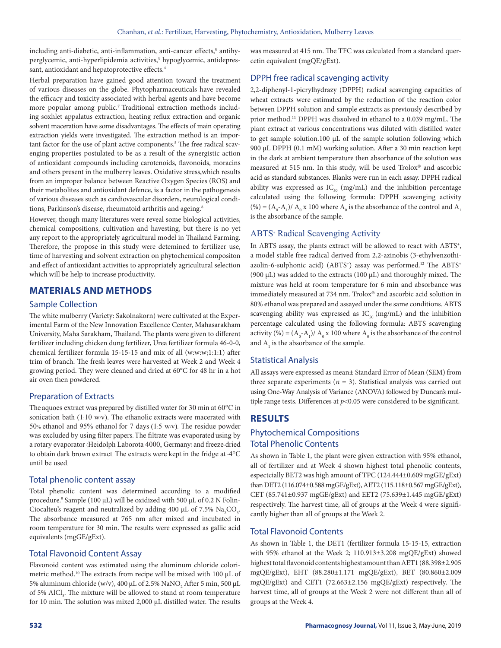including anti-diabetic, anti-inflammation, anti-cancer effects,<sup>5</sup> antihyperglycemic, anti-hyperlipidemia activities,<sup>3</sup> hypoglycemic, antidepressant, antioxidant and hepatoprotective effects.<sup>4</sup>

Herbal preparation have gained good attention toward the treatment of various diseases on the globe. Phytopharmaceuticals have revealed the efficacy and toxicity associated with herbal agents and have become more popular among public.7 Traditional extraction methods including soxhlet appalatus extraction, heating reflux extraction and organic solvent maceration have some disadvantages. The effects of main operating extraction yields were investigated. The extraction method is an important factor for the use of plant active components.<sup>5</sup> The free radical scavenging properties postulated to be as a result of the synergistic action of antioxidant compounds including carotenoids, flavonoids, moracins and others present in the mulberry leaves. Oxidative stress,which results from an improper balance between Reactive Oxygen Species (ROS) and their metabolites and antioxidant defence, is a factor in the pathogenesis of various diseases such as cardiovascular disorders, neurological conditions, Parkinson's disease, rheumatoid arthritis and ageing.<sup>8</sup>

However, though many literatures were reveal some biological activities, chemical compositions, cultivation and havesting, but there is no yet any report to the appropriately agricultural model in Thailand Farming. Therefore, the propose in this study were detemined to fertilizer use, time of harvesting and solvent extraction on phytochemical compositon and effect of antioxidant activities to appropriately agricultural selection which will be help to increase productivity.

# **MATERIALS AND METHODS**

#### Sample Collection

The white mulberry (Variety: Sakolnakorn) were cultivated at the Experimental Farm of the New Innovation Excellence Center, Mahasarakham University, Maha Sarakham, Thailand. The plants were given to different fertilizer including chicken dung fertilizer, Urea fertilizer formula 46-0-0, chemical fertilizer formula 15-15-15 and mix of all (w:w:w;1:1:1) after trim of branch. The fresh leaves were harvested at Week 2 and Week 4 growing period. They were cleaned and dried at 60°C for 48 hr in a hot air oven then powdered.

# Preparation of Extracts

The aquoes extract was prepared by distilled water for 30 min at 60°C in sonication bath (1:10 w/v). The ethanolic extracts were macerated with 50% ethanol and 95% ethanol for 7 days (1:5 w/v). The residue powder was excluded by using filter papers. The filtrate was evaporated using by a rotary evaporator (Heidolph Laborota 4000, Germany) and freeze-dried to obtain dark brown extract. The extracts were kept in the fridge at -4°C until be used.

#### Total phenolic content assay

Total phenolic content was determined according to a modified procedure.9 Sample (100 µL) will be oxidized with 500 µL of 0.2 N Folin-Ciocalteu's reagent and neutralized by adding 400  $\mu$ L of 7.5%  $\text{Na}_2\text{CO}_3$ . The absorbance measured at 765 nm after mixed and incubated in room temperature for 30 min. The results were expressed as gallic acid equivalents (mgGE/gExt).

# Total Flavonoid Content Assay

Flavonoid content was estimated using the aluminum chloride colorimetric method.<sup>10</sup> The extracts from recipe will be mixed with 100 µL of 5% aluminum chloride (w/v), 400 μL of 2.5%  $\mathrm{NaNO}_2$  After 5 min, 500 μL of 5% AlCl<sub>3</sub>. The mixture will be allowed to stand at room temperature for 10 min. The solution was mixed 2,000 µL distilled water. The results

was measured at 415 nm. The TFC was calculated from a standard quercetin equivalent (mgQE/gExt).

# DPPH free radical scavenging activity

2,2-diphenyl-1-picrylhydrazy (DPPH) radical scavenging capacities of wheat extracts were estimated by the reduction of the reaction color between DPPH solution and sample extracts as previously described by prior method.11 DPPH was dissolved in ethanol to a 0.039 mg/mL. The plant extract at various concentrations was diluted with distilled water to get sample solution.100 µL of the sample solution following which 900 µL DPPH (0.1 mM) working solution. After a 30 min reaction kept in the dark at ambient temperature then absorbance of the solution was measured at 515 nm. In this study, will be used  $Trolox^{\circledast}$  and ascorbic acid as standard substances. Blanks were run in each assay. DPPH radical ability was expressed as  $IC_{50}$  (mg/mL) and the inhibition percentage calculated using the following formula: DPPH scavenging activity (%) =  $(A_0 - A_1)/A_0$  x 100 where  $A_0$  is the absorbance of the control and  $A_1$ is the absorbance of the sample.

# ABTS<sup>+</sup> Radical Scavenging Activity

In ABTS assay, the plants extract will be allowed to react with ABTS+, a model stable free radical derived from 2,2-azinobis (3-ethylvenzothiazolin-6-sulphonic acid) (ABTS<sup>+</sup>) assay was performed.<sup>12</sup> The ABTS<sup>+</sup> (900 µL) was added to the extracts (100 µL) and thoroughly mixed. The mixture was held at room temperature for 6 min and absorbance was immediately measured at 734 nm. Trolox® and ascorbic acid solution in 80% ethanol was prepared and assayed under the same conditions. ABTS scavenging ability was expressed as  $IC_{50}$  (mg/mL) and the inhibition percentage calculated using the following formula: ABTS scavenging activity (%) =  $(A_0$ - $A_1)$ / $A_0$  x 100 where  $A_0$  is the absorbance of the control and  $A_1$  is the absorbance of the sample.

# Statistical Analysis

All assays were expressed as mean± Standard Error of Mean (SEM) from three separate experiments ( $n = 3$ ). Statistical analysis was carried out using One-Way Analysis of Variance (ANOVA) followed by Duncan's multiple range tests. Differences at  $p$ <0.05 were considered to be significant.

# **RESULTS**

# Phytochemical Compositions Total Phenolic Contents

As shown in Table 1, the plant were given extraction with 95% ethanol, all of fertilizer and at Week 4 shown highest total phenolic contents, espectcially BET2 was high amount of TPC (124.444±0.609 mgGE/gExt) than DET2 (116.074±0.588 mgGE/gExt), AET2 (115.118±0.567 mgGE/gExt), CET (85.741±0.937 mgGE/gExt) and EET2 (75.639±1.445 mgGE/gExt) respectively. The harvest time, all of groups at the Week 4 were significantly higher than all of groups at the Week 2.

# Total Flavonoid Contents

As shown in Table 1, the DET1 (fertilizer formula 15-15-15, extraction with 95% ethanol at the Week 2; 110.913±3.208 mgQE/gExt) showed highest total flavonoid contents highest amount than AET1 (88.398±2.905 mgQE/gExt), EHT (88.280±1.171 mgQE/gExt), BET (80.860±2.009 mgQE/gExt) and CET1 (72.663±2.156 mgQE/gExt) respectively. The harvest time, all of groups at the Week 2 were not different than all of groups at the Week 4.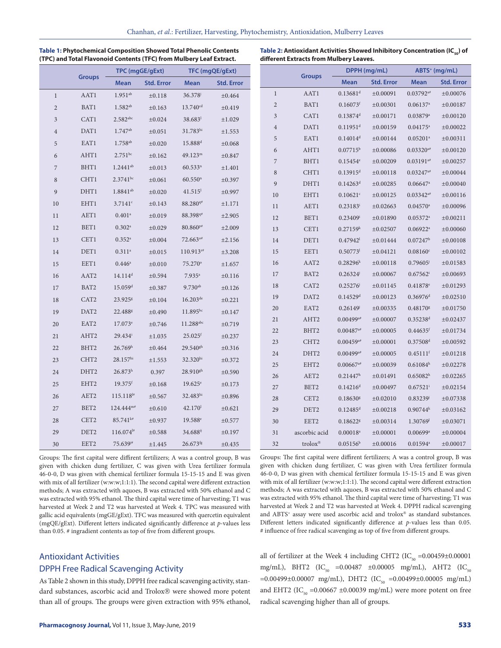|  | $-1$ . The state $-$ | <b>Mean</b> | Std. Error | <b>Mean</b> | <b>Stc</b> |
|--|----------------------|-------------|------------|-------------|------------|
|  |                      |             |            |             |            |

**Table 1: Phytochemical Composition Showed Total Phenolic Contents (TPC) and Total Flavonoid Contents (TFC) from Mulbery Leaf Extract.** 

| Table 2: Antioxidant Activities Showed Inhibitory Concentration (IC $_{\rm co}$ ) of |  |
|--------------------------------------------------------------------------------------|--|
| different Extracts from Mulbery Leaves.                                              |  |

**Groups DPPH (mg/mL) ABTS+ (mg/mL)**

|                |                  | TPC (mgGE/gExt)         |                   | TFC (mgQE/gExt)         |                   |
|----------------|------------------|-------------------------|-------------------|-------------------------|-------------------|
|                | <b>Groups</b>    | <b>Mean</b>             | <b>Std. Error</b> | <b>Mean</b>             | <b>Std. Error</b> |
| $\mathbf{1}$   | AAT1             | $1.951^{ab}$            | ±0.118            | 36.378                  | ±0.464            |
| $\overline{c}$ | BAT1             | $1.582^{ab}$            | ±0.163            | 13.740 <sup>cd</sup>    | ±0.419            |
| 3              | CAT1             | $2.582$ abc             | ±0.024            | $38.683^{\mathrm{l}}$   | ±1.029            |
| $\overline{4}$ | DAT1             | $1.747^{ab}$            | ±0.051            | 31.783hi                | ±1.553            |
| 5              | EAT1             | $1.758^{ab}$            | $\pm 0.020$       | 15.888 <sup>d</sup>     | ±0.068            |
| 6              | AHT1             | $2.751^{bc}$            | ±0.162            | 49.123 <sup>m</sup>     | ±0.847            |
| 7              | BHT1             | $1.2441^{ab}$           | ±0.013            | $60.533^n$              | $\pm 1.401$       |
| 8              | CHT1             | $2.3741^{bc}$           | ±0.061            | 60.550 <sup>n</sup>     | ±0.397            |
| 9              | DHT1             | $1.8841^{ab}$           | $\pm 0.020$       | $41.515^1$              | ±0.997            |
| 10             | EHT1             | 3.7141c                 | ±0.143            | 88.280 <sup>q#</sup>    | ±1.171            |
| 11             | AET1             | $0.401$ <sup>a</sup>    | $\pm 0.019$       | 88.398 <sup>q#</sup>    | ±2.905            |
| 12             | BET1             | $0.302$ <sup>a</sup>    | ±0.029            | 80.860 <sup>p#</sup>    | ±2.009            |
| 13             | CET1             | $0.352$ <sup>a</sup>    | $\pm 0.004$       | $72.663^{\circ*}$       | ±2.156            |
| 14             | DET1             | $0.311$ <sup>a</sup>    | ±0.015            | $110.913^{r#}$          | ±3.208            |
| 15             | EET1             | $0.446^{\circ}$         | $\pm 0.010$       | 75.270°                 | $\pm 1.657$       |
| 16             | AAT <sub>2</sub> | $14.114^d$              | ±0.594            | $7.935$ <sup>a</sup>    | ±0.116            |
| 17             | BAT <sub>2</sub> | 15.059 <sup>d</sup>     | ±0.387            | $9.730^{ab}$            | ±0.126            |
| 18             | CAT <sub>2</sub> | 23.925 <sup>g</sup>     | ±0.104            | $16.203^{\text{de}}$    | ±0.221            |
| 19             | DAT <sub>2</sub> | 22.488 <sup>g</sup>     | ±0.490            | $11.895^{bc}$           | ±0.147            |
| 20             | EAT <sub>2</sub> | 17.073e                 | ±0.746            | $11.288$ <sup>abc</sup> | ±0.719            |
| 21             | AHT <sub>2</sub> | 29.434 <sup>i</sup>     | ±1.035            | $25.025$ <sup>f</sup>   | ±0.237            |
| 22             | BHT <sub>2</sub> | 26.769 <sup>h</sup>     | ±0.464            | $29.540$ <sup>gh</sup>  | ±0.316            |
| 23             | CHT <sub>2</sub> | 28.157 <sup>hi</sup>    | ±1.553            | 32.320hi                | ±0.372            |
| 24             | DHT <sub>2</sub> | 26.873 <sup>h</sup>     | 0.397             | $28.910^{gh}$           | ±0.590            |
| 25             | EHT <sub>2</sub> | $19.375$ <sup>f</sup>   | ±0.168            | $19.625^{\circ}$        | ±0.173            |
| 26             | AET <sub>2</sub> | $115.118$ <sup>1#</sup> | ±0.567            | $32.483$ hi             | ±0.896            |
| 27             | BET2             | $124.444^{m*}$          | $\pm 0.610$       | 42.170 <sup>1</sup>     | $\pm 0.621$       |
| 28             | CET <sub>2</sub> | $85.741^{k*}$           | ±0.937            | 19.588 <sup>e</sup>     | ±0.577            |
| 29             | DET <sub>2</sub> | $116.074^{1#}$          | ±0.588            | 34.688 <sup>ij</sup>    | ±0.197            |
| 30             | EET <sub>2</sub> | $75.639^{j*}$           | ±1.445            | $26.673$ <sup>fg</sup>  | ±0.435            |

Groups: The first capital were diffirent fertilizers; A was a control group, B was given with chicken dung fertilizer, C was given with Urea fertilizer formula 46-0-0, D was given with chemical fertilizer formula 15-15-15 and E was given with mix of all fertilizer (w:w:w;1:1:1). The second capital were different extraction methods; A was extracted with aquoes, B was extracted with 50% ethanol and C was extracted with 95% ethanol. The third capital were time of harvesting; T1 was harvested at Week 2 and T2 was harvested at Week 4. TPC was measured with gallic acid equivalents (mgGE/gExt). TFC was measured with quercetin equivalent (mgQE/gExt). Different letters indicated significantly difference at *p*-values less than 0.05. # ingradient contents as top of five from different groups.

# Antioxidant Activities DPPH Free Radical Scavenging Activity

As Table 2 shown in this study, DPPH free radical scavenging activity, standard substances, ascorbic acid and Trolox® were showed more potent than all of groups. The groups were given extraction with 95% ethanol,

|                | uroups              | <b>Mean</b>             | <b>Std. Error</b> | Mean                    | <b>Std. Error</b> |
|----------------|---------------------|-------------------------|-------------------|-------------------------|-------------------|
| $\mathbf{1}$   | AAT1                | $0.13681^d$             | ±0.00091          | $0.03792^{a#}$          | ±0.00076          |
| $\overline{c}$ | BAT1                | $0.16073$ <sup>f</sup>  | ±0.00301          | 0.06137 <sup>a</sup>    | ±0.00187          |
| 3              | CAT <sub>1</sub>    | $0.13874$ <sup>d</sup>  | ±0.00171          | 0.03879 <sup>a</sup>    | ±0.00120          |
| $\overline{4}$ | DAT1                | $0.11951$ <sup>d</sup>  | ±0.00159          | $0.04175^{\circ}$       | ±0.00022          |
| 5              | EAT1                | $0.14014^d$             | ±0.00144          | $0.05201$ <sup>a</sup>  | ±0.00311          |
| 6              | AHT1                | $0.07715^{\rm b}$       | ±0.00086          | $0.03320^{a*}$          | ±0.00120          |
| 7              | BHT1                | $0.15454^e$             | ±0.00209          | $0.03191^{a#}$          | ±0.00257          |
| 8              | CHT1                | $0.13915$ <sup>d</sup>  | ±0.00118          | $0.03247$ <sup>a#</sup> | ±0.00044          |
| 9              | DHT1                | 0.14263 <sup>d</sup>    | ±0.00285          | 0.06647 <sup>a</sup>    | ±0.00040          |
| 10             | EHT1                | 0.10621c                | ±0.00125          | $0.03342^{a#}$          | ±0.00116          |
| 11             | AET1                | $0.23183^{i}$           | ±0.02663          | 0.04570a                | ±0.00096          |
| 12             | BET1                | 0.23409i                | ±0.01890          | 0.05372a                | ±0.00211          |
| 13             | CET1                | 0.27159 <sup>k</sup>    | ±0.02507          | $0.06922$ <sup>a</sup>  | ±0.00060          |
| 14             | DET1                | $0.47942$ <sup>1</sup>  | ±0.01444          | $0.07247^{\rm b}$       | ±0.00108          |
| 15             | EET1                | $0.50773$ <sup>1</sup>  | ±0.04121          | 0.08160c                | ±0.00102          |
| 16             | AAT <sub>2</sub>    | $0.28296^{k}$           | ±0.00118          | $0.79605^{j}$           | ±0.01583          |
| 17             | BAT2                | $0.26324^{j}$           | ±0.00067          | $0.67562$ <sup>i</sup>  | $+0.00693$        |
| 18             | CAT <sub>2</sub>    | $0.25276^{j}$           | ±0.01145          | $0.41878^{\circ}$       | ±0.01293          |
| 19             | DAT <sub>2</sub>    | $0.14529$ <sup>d</sup>  | ±0.00123          | $0.36976$ <sup>d</sup>  | ±0.02510          |
| 20             | EAT <sub>2</sub>    | 0.26149'                | ±0.00335          | 0.48170 <sup>g</sup>    | ±0.01750          |
| 21             | AHT <sub>2</sub>    | $0.00499^{a*}$          | ±0.00007          | $0.35238$ <sup>d</sup>  | ±0.02437          |
| 22             | BHT <sub>2</sub>    | $0.00487$ <sup>a#</sup> | ±0.00005          | $0.44635$ <sup>f</sup>  | ±0.01734          |
| 23             | CHT <sub>2</sub>    | $0.00459$ <sup>a#</sup> | ±0.00001          | 0.37508 <sup>d</sup>    | ±0.00592          |
| 24             | DHT <sub>2</sub>    | $0.00499^{a*}$          | ±0.00005          | $0.45111^{f}$           | ±0.01218          |
| 25             | EHT <sub>2</sub>    | $0.00667$ <sup>a#</sup> | ±0.00039          | $0.61084^h$             | ±0.02278          |
| 26             | AET <sub>2</sub>    | 0.21447 <sup>h</sup>    | ±0.01491          | 0.65082 <sup>h</sup>    | ±0.02265          |
| 27             | BET2                | $0.14216^d$             | ±0.00497          | $0.67521$ <sup>i</sup>  | ±0.02154          |
| 28             | CET <sub>2</sub>    | $0.18630$ <sup>g</sup>  | ±0.02010          | $0.83239^{j}$           | ±0.07338          |
| 29             | DET <sub>2</sub>    | $0.12485$ <sup>d</sup>  | ±0.00218          | $0.90744^k$             | ±0.03162          |
| 30             | EET2                | 0.18622g                | ±0.00314          | 1.30769 <sup>1</sup>    | ±0.03071          |
| 31             | ascorbic acid       | $0.00018$ <sup>a</sup>  | ±0.00001          | $0.00699$ <sup>a</sup>  | ±0.00004          |
| 32             | trolox <sup>®</sup> | $0.05156^{\rm b}$       | ±0.00016          | $0.01594^{\text{a}}$    | ±0.00017          |

Groups: The first capital were diffirent fertilizers; A was a control group, B was given with chicken dung fertilizer, C was given with Urea fertilizer formula 46-0-0, D was given with chemical fertilizer formula 15-15-15 and E was given with mix of all fertilizer (w:w:w;1:1:1). The second capital were different extraction methods; A was extracted with aquoes, B was extracted with 50% ethanol and C was extracted with 95% ethanol. The third capital were time of harvesting; T1 was harvested at Week 2 and T2 was harvested at Week 4. DPPH radical scavenging and ABTS<sup>+</sup> assay were used ascorbic acid and trolox® as standard substances. Different letters indicated significantly difference at *p*-values less than 0.05. # influence of free radical scavenging as top of five from different groups.

all of fertilizer at the Week 4 including CHT2 (IC $_{50}$  =0.00459±0.00001 mg/mL), BHT2 (IC<sub>50</sub> =0.00487 ±0.00005 mg/mL), AHT2 (IC<sub>50</sub>  $=0.00499\pm0.00007$  mg/mL), DHT2 (IC<sub>50</sub>  $=0.00499\pm0.00005$  mg/mL) and EHT2 (IC<sub>50</sub> = 0.00667  $\pm$ 0.00039 mg/mL) were more potent on free radical scavenging higher than all of groups.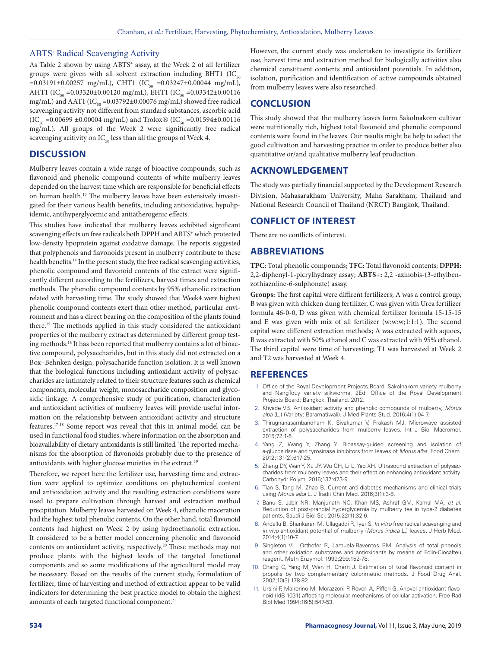#### ABTS<sup>+</sup> Radical Scavenging Activity

As Table 2 shown by using ABTS<sup>+</sup> assay, at the Week 2 of all fertilizer groups were given with all solvent extraction including BHT1 (IC<sub>50</sub>  $=0.03191\pm0.00257$  mg/mL), CHT1 (IC<sub>50</sub>  $=0.03247\pm0.00044$  mg/mL), AHT1 (IC<sub>50</sub> = 0.03320±0.00120 mg/mL), EHT1 (IC<sub>50</sub> = 0.03342±0.00116 mg/mL) and AAT1 (IC $_{50}$  =0.03792±0.00076 mg/mL) showed free radical scavenging activity not different from standard substances, ascorbic acid  $(IC_{50} = 0.00699 \pm 0.00004 \text{ mg/mL})$  and Trolox®  $(IC_{50} = 0.01594 \pm 0.00116$ mg/mL). All groups of the Week 2 were significantly free radical scavenging acitivity on  $IC_{50}$  less than all the groups of Week 4.

# **DISCUSSION**

Mulberry leaves contain a wide range of bioactive compounds, such as flavonoid and phenolic compound contents of white mulberry leaves depended on the harvest time which are responsible for beneficial effects on human health.13 The mulberry leaves have been extensively investigated for their various health benefits, including antioxidative, hypolipidemic, antihyperglycemic and antiatherogenic effects.

This studies have indicated that mulberry leaves exhibited significant scavenging effects on free radicals both DPPH and ABTS<sup>+</sup> which protected low-density lipoprotein against oxidative damage. The reports suggested that polyphenols and flavonoids present in mulberry contribute to these health benefits.<sup>14</sup> In the present study, the free radical scavenging activities, phenolic compound and flavonoid contents of the extract were significantly different according to the fertilizers, harvest times and extraction methods. The phenolic compound contents by 95% ethanolic extraction related with harvesting time. The study showed that Week4 were highest phenolic compound contents exert than other method, particular environment and has a direct bearing on the composition of the plants found there.15 The methods applied in this study considered the antioxidant properties of the mulberry extract as determined by different group testing methods.16 It has been reported that mulberry contains a lot of bioactive compound, polysaccharides, but in this study did not extracted on a Box–Behnken design, polysacharide function isolation. It is well known that the biological functions including antioxidant activity of polysaccharides are intimately related to their structure features such as chemical components, molecular weight, monosaccharide composition and glycosidic linkage. A comprehensive study of purification, characterization and antioxidant activities of mulberry leaves will provide useful information on the relationship between antioxidant activity and structure features.17-18 Some report was reveal that this in animal model can be used in functional food studies, where information on the absorption and bioavailability of dietary antioxidants is still limited. The reported mechanisms for the absorption of flavonoids probably due to the presence of antioxidants with higher glucose moieties in the extract.<sup>19</sup>

Therefore, we report here the fertilizer use, harvesting time and extraction were applied to optimize conditions on phytochemical content and antioxidation activity and the resulting extraction conditions were used to prepare cultivation through harvest and extraction method precipitation. Mulberry leaves harvested on Week 4, ethanolic maceration had the highest total phenolic contents. On the other hand, total flavonoid contents had highest on Week 2 by using hydroethanolic extraction. It considered to be a better model concerning phenolic and flavonoid contents on antioxidant activity, respectively.20 These methods may not produce plants with the highest levels of the targeted functional components and so some modifications of the agricultural model may be necessary. Based on the results of the current study, formulation of fertilizer, time of harvesting and method of extraction appear to be valid indicators for determining the best practice model to obtain the highest amounts of each targeted functional component.<sup>21</sup>

However, the current study was undertaken to investigate its fertilizer use, harvest time and extraction method for biologically activities also chemical constituent contents and antioxidant potentials. In addition, isolation, purification and identification of active compounds obtained from mulberry leaves were also researched.

#### **CONCLUSION**

This study showed that the mulberry leaves form Sakolnakorn cultivar were nutritionally rich, highest total flavonoid and phenolic compound contents were found in the leaves. Our results might be help to select the good cultivation and harvesting practice in order to produce better also quantitative or/and qualitative mulberry leaf production.

# **ACKNOWLEDGEMENT**

The study was partially financial supported by the Development Research Division, Mahasarakham University, Maha Sarakham, Thailand and National Research Council of Thailand (NRCT) Bangkok, Thailand.

# **CONFLICT OF INTEREST**

There are no conflicts of interest.

#### **ABBREVIATIONS**

**TPC:** Total phenolic compounds; **TFC:** Total flavonoid contents; **DPPH:** 2,2-diphenyl-1-picrylhydrazy assay; **ABTS+:** 2,2 -azinobis-(3-ethylbenzothiazoline-6-sulphonate) assay.

**Groups:** The first capital were diffirent fertilizers; A was a control group, B was given with chicken dung fertilizer, C was given with Urea fertilizer formula 46-0-0, D was given with chemical fertilizer formula 15-15-15 and E was given with mix of all fertilizer (w:w:w;1:1:1). The second capital were different extraction methods; A was extracted with aquoes, B was extracted with 50% ethanol and C was extracted with 95% ethanol. The third capital were time of harvesting; T1 was harvested at Week 2 and T2 was harvested at Week 4.

#### **REFERENCES**

- 1. Office of the Royal Development Projects Board. Sakolnakorn variety mulberry and NangTouy variety silkworms. 2Ed. Office of the Royal Development Projects Board; Bangkok, Thailand. 2012.
- 2. Khyade VB. Antioxidant activity and phenolic compounds of mulberry, *Morus alba* (L.) (Variety: Baramatiwali). J Med Plants Stud. 2016;4(1):04-7.
- 3. Thirugnanasambandham K, Sivakumar V, Prakash MJ. Microwave assisted extraction of polysaccharides from mulberry leaves. Int J Biol Macromol. 2015;72:1-5.
- 4. Yang Z, Wang Y, Zhang Y. Bioassay-guided screening and isolation of a-glucosidase and tyrosinase inhibitors from leaves of *Morus alba*. Food Chem. 2012;131(2):617-25.
- 5. Zhang DY, Wan Y, Xu JY, Wu GH, Li L, Yao XH. Ultrasound extraction of polysaccharides from mulberry leaves and their effect on enhancing antioxidant activity. Carbohydr Polym. 2016;137:473-9.
- 6. Tian S, Tang M, Zhao B. Current anti-diabetes mechanisms and clinical trials using *Morus alba* L. J Tradit Chin Med. 2016;3(1):3-8.
- 7. Banu S, Jabir NR, Manjunath NC, Khan MS, Ashraf GM, Kamal MA, *et al*. Reduction of post-prandial hyperglycemia by mulberry tea in type-2 diabetes patients. Saudi J Biol Sci. 2015;22(1):32-6.
- 8. Andallu B, Shankaran M, Ullagaddi R, Iyer S. *In vitro* free radical scavenging and *in vivo* antioxidant potential of mulberry (*Morus indica* L.) leaves. J Herb Med. 2014;4(1):10-7.
- 9. Singleton VL, Orthofer R, Lamuela-Raventos RM. Analysis of total phenols and other oxidation substrates and antioxidants by means of Folin-Ciocalteu reagent. Meth Enzymol. 1999;299:152-78.
- 10. Chang C, Yang M, Wen H, Chern J. Estimation of total flavonoid content in propolis by two complementary colorimetric methods. J Food Drug Anal. 2002;10(3):178-82.
- 11. Ursini F, Mairorino M, Morazzoni P, Roveri A, Pifferi G. Anovel antioxidant flavonoid (IdB 1031) affecting molecular mechanisms of cellular activation. Free Rad Biol Med.1994;16(5):547-53.